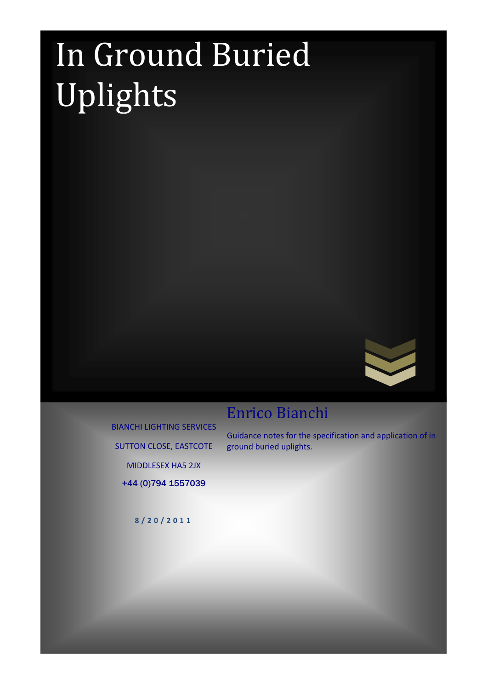# In Ground Buried Uplights



## Enrico Bianchi

BIANCHI LIGHTING SERVICES SUTTON CLOSE, EASTCOTE MIDDLESEX HA5 2JX

Guidance notes for the specification and application of in ground buried uplights.

+44 (0)794 1557039

8 / 2 0 / 2 0 1 1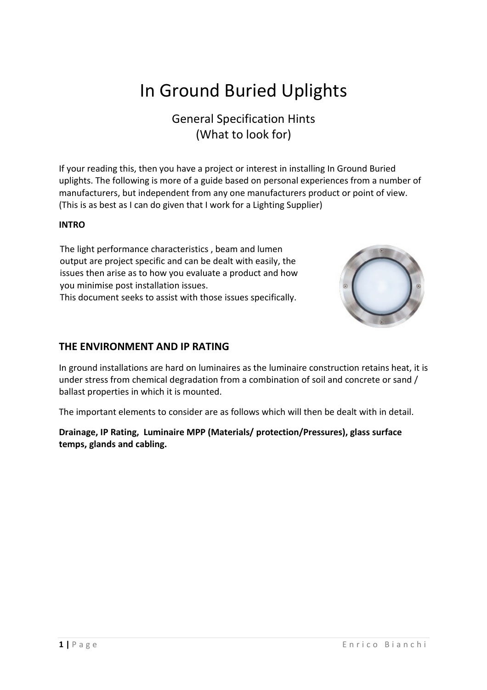# In Ground Buried Uplights

### General Specification Hints (What to look for)

If your reading this, then you have a project or interest in installing In Ground Buried uplights. The following is more of a guide based on personal experiences from a number of manufacturers, but independent from any one manufacturers product or point of view. (This is as best as I can do given that I work for a Lighting Supplier)

#### INTRO

The light performance characteristics , beam and lumen output are project specific and can be dealt with easily, the issues then arise as to how you evaluate a product and how you minimise post installation issues.

This document seeks to assist with those issues specifically.



#### THE ENVIRONMENT AND IP RATING

In ground installations are hard on luminaires as the luminaire construction retains heat, it is under stress from chemical degradation from a combination of soil and concrete or sand / ballast properties in which it is mounted.

The important elements to consider are as follows which will then be dealt with in detail.

Drainage, IP Rating, Luminaire MPP (Materials/ protection/Pressures), glass surface temps, glands and cabling.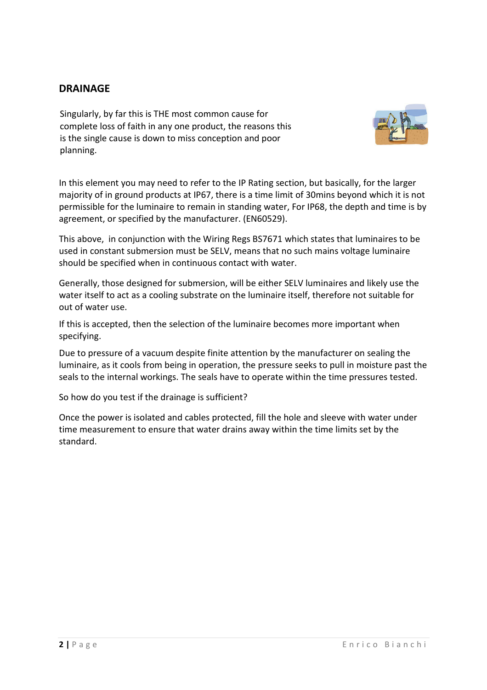#### DRAINAGE

Singularly, by far this is THE most common cause for complete loss of faith in any one product, the reasons this is the single cause is down to miss conception and poor planning.



In this element you may need to refer to the IP Rating section, but basically, for the larger majority of in ground products at IP67, there is a time limit of 30mins beyond which it is not permissible for the luminaire to remain in standing water, For IP68, the depth and time is by agreement, or specified by the manufacturer. (EN60529).

This above, in conjunction with the Wiring Regs BS7671 which states that luminaires to be used in constant submersion must be SELV, means that no such mains voltage luminaire should be specified when in continuous contact with water.

Generally, those designed for submersion, will be either SELV luminaires and likely use the water itself to act as a cooling substrate on the luminaire itself, therefore not suitable for out of water use.

If this is accepted, then the selection of the luminaire becomes more important when specifying.

Due to pressure of a vacuum despite finite attention by the manufacturer on sealing the luminaire, as it cools from being in operation, the pressure seeks to pull in moisture past the seals to the internal workings. The seals have to operate within the time pressures tested.

So how do you test if the drainage is sufficient?

Once the power is isolated and cables protected, fill the hole and sleeve with water under time measurement to ensure that water drains away within the time limits set by the standard.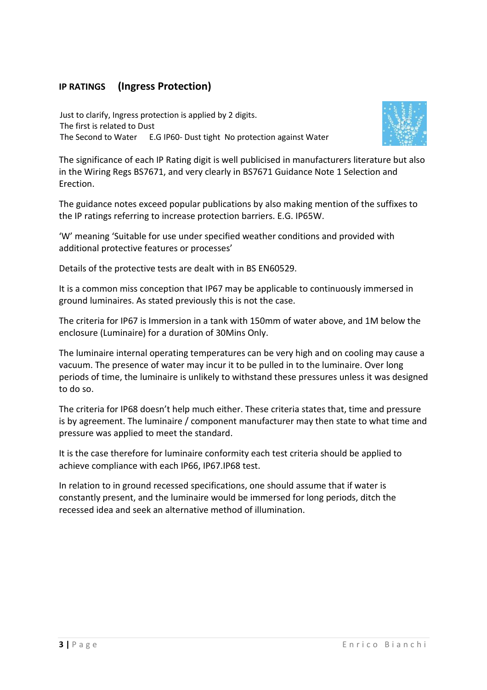#### IP RATINGS (Ingress Protection)

The Second to Water Just to clarify, Ingress protection is applied by 2 digits. The first is related to Dust E.G IP60- Dust tight No protection against Water



The significance of each IP Rating digit is well publicised in manufacturers literature but also in the Wiring Regs BS7671, and very clearly in BS7671 Guidance Note 1 Selection and Erection.

The guidance notes exceed popular publications by also making mention of the suffixes to the IP ratings referring to increase protection barriers. E.G. IP65W.

'W' meaning 'Suitable for use under specified weather conditions and provided with additional protective features or processes'

Details of the protective tests are dealt with in BS EN60529.

It is a common miss conception that IP67 may be applicable to continuously immersed in ground luminaires. As stated previously this is not the case.

The criteria for IP67 is Immersion in a tank with 150mm of water above, and 1M below the enclosure (Luminaire) for a duration of 30Mins Only.

The luminaire internal operating temperatures can be very high and on cooling may cause a vacuum. The presence of water may incur it to be pulled in to the luminaire. Over long periods of time, the luminaire is unlikely to withstand these pressures unless it was designed to do so.

The criteria for IP68 doesn't help much either. These criteria states that, time and pressure is by agreement. The luminaire / component manufacturer may then state to what time and pressure was applied to meet the standard.

It is the case therefore for luminaire conformity each test criteria should be applied to achieve compliance with each IP66, IP67.IP68 test.

In relation to in ground recessed specifications, one should assume that if water is constantly present, and the luminaire would be immersed for long periods, ditch the recessed idea and seek an alternative method of illumination.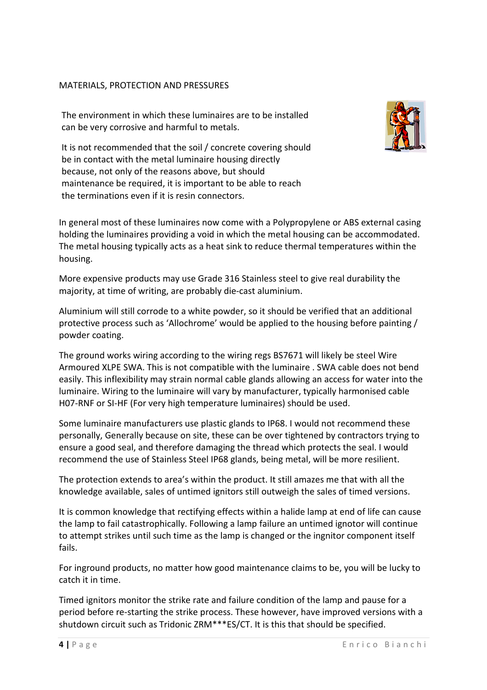#### MATERIALS, PROTECTION AND PRESSURES

The environment in which these luminaires are to be installed can be very corrosive and harmful to metals.



 It is not recommended that the soil / concrete covering should be in contact with the metal luminaire housing directly because, not only of the reasons above, but should maintenance be required, it is important to be able to reach the terminations even if it is resin connectors.

In general most of these luminaires now come with a Polypropylene or ABS external casing holding the luminaires providing a void in which the metal housing can be accommodated. The metal housing typically acts as a heat sink to reduce thermal temperatures within the housing.

More expensive products may use Grade 316 Stainless steel to give real durability the majority, at time of writing, are probably die-cast aluminium.

Aluminium will still corrode to a white powder, so it should be verified that an additional protective process such as 'Allochrome' would be applied to the housing before painting / powder coating.

The ground works wiring according to the wiring regs BS7671 will likely be steel Wire Armoured XLPE SWA. This is not compatible with the luminaire . SWA cable does not bend easily. This inflexibility may strain normal cable glands allowing an access for water into the luminaire. Wiring to the luminaire will vary by manufacturer, typically harmonised cable H07-RNF or SI-HF (For very high temperature luminaires) should be used.

Some luminaire manufacturers use plastic glands to IP68. I would not recommend these personally, Generally because on site, these can be over tightened by contractors trying to ensure a good seal, and therefore damaging the thread which protects the seal. I would recommend the use of Stainless Steel IP68 glands, being metal, will be more resilient.

The protection extends to area's within the product. It still amazes me that with all the knowledge available, sales of untimed ignitors still outweigh the sales of timed versions.

It is common knowledge that rectifying effects within a halide lamp at end of life can cause the lamp to fail catastrophically. Following a lamp failure an untimed ignotor will continue to attempt strikes until such time as the lamp is changed or the ingnitor component itself fails.

For inground products, no matter how good maintenance claims to be, you will be lucky to catch it in time.

Timed ignitors monitor the strike rate and failure condition of the lamp and pause for a period before re-starting the strike process. These however, have improved versions with a shutdown circuit such as Tridonic ZRM\*\*\*ES/CT. It is this that should be specified.